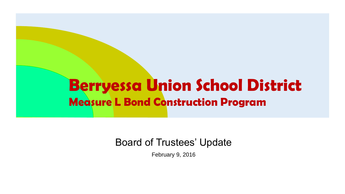#### Berryessa Union School District Measure L Bond Construction Program

#### Board of Trustees' Update

February 9, 2016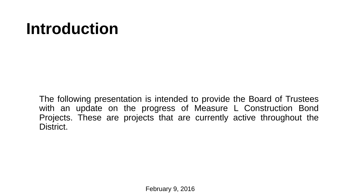## **Introduction**

The following presentation is intended to provide the Board of Trustees with an update on the progress of Measure L Construction Bond Projects. These are projects that are currently active throughout the District.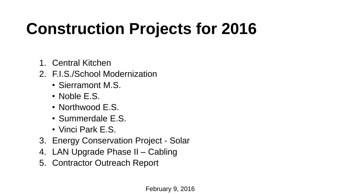# **Construction Projects for 2016**

- 1. Central Kitchen
- 2. F.I.S./School Modernization
	- Sierramont M.S.
	- Noble E.S.
	- Northwood E.S.
	- Summerdale E.S.
	- Vinci Park E.S.
- 3. Energy Conservation Project Solar
- 4. LAN Upgrade Phase II Cabling
- 5. Contractor Outreach Report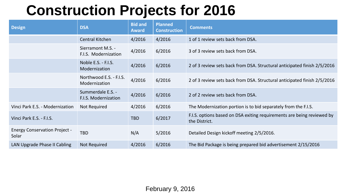### **Construction Projects for 2016**

| <b>Design</b>                                 | <b>DSA</b>                                | <b>Bid and</b><br><b>Award</b> | <b>Planned</b><br><b>Construction</b> | <b>Comments</b>                                                                         |
|-----------------------------------------------|-------------------------------------------|--------------------------------|---------------------------------------|-----------------------------------------------------------------------------------------|
|                                               | Central Kitchen                           | 4/2016                         | 4/2016                                | 1 of 1 review sets back from DSA.                                                       |
|                                               | Sierramont M.S. -<br>F.I.S. Modernization | 4/2016                         | 6/2016                                | 3 of 3 review sets back from DSA.                                                       |
|                                               | Noble E.S. - F.I.S.<br>Modernization      | 4/2016                         | 6/2016                                | 2 of 3 review sets back from DSA. Structural anticipated finish 2/5/2016                |
|                                               | Northwood E.S. - F.I.S.<br>Modernization  | 4/2016                         | 6/2016                                | 2 of 3 review sets back from DSA. Structural anticipated finish 2/5/2016                |
|                                               | Summerdale E.S. -<br>F.I.S. Modernization | 4/2016                         | 6/2016                                | 2 of 2 review sets back from DSA.                                                       |
| Vinci Park E.S. - Modernization               | Not Required                              | 4/2016                         | 6/2016                                | The Modernization portion is to bid separately from the F.I.S.                          |
| Vinci Park E.S. - F.I.S.                      |                                           | <b>TBD</b>                     | 6/2017                                | F.I.S. options based on DSA exiting requirements are being reviewed by<br>the District. |
| <b>Energy Conservation Project -</b><br>Solar | <b>TBD</b>                                | N/A                            | 5/2016                                | Detailed Design kickoff meeting 2/5/2016.                                               |
| LAN Upgrade Phase II Cabling                  | <b>Not Required</b>                       | 4/2016                         | 6/2016                                | The Bid Package is being prepared bid advertisement 2/15/2016                           |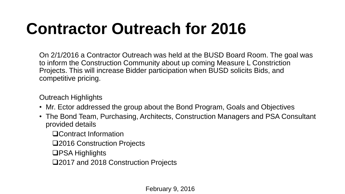## **Contractor Outreach for 2016**

On 2/1/2016 a Contractor Outreach was held at the BUSD Board Room. The goal was to inform the Construction Community about up coming Measure L Constriction Projects. This will increase Bidder participation when BUSD solicits Bids, and competitive pricing.

Outreach Highlights

- Mr. Ector addressed the group about the Bond Program, Goals and Objectives
- The Bond Team, Purchasing, Architects, Construction Managers and PSA Consultant provided details

Contract Information

- 2016 Construction Projects
- **□PSA Highlights**
- 2017 and 2018 Construction Projects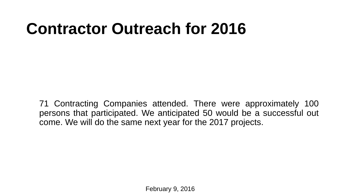## **Contractor Outreach for 2016**

71 Contracting Companies attended. There were approximately 100 persons that participated. We anticipated 50 would be a successful out come. We will do the same next year for the 2017 projects.